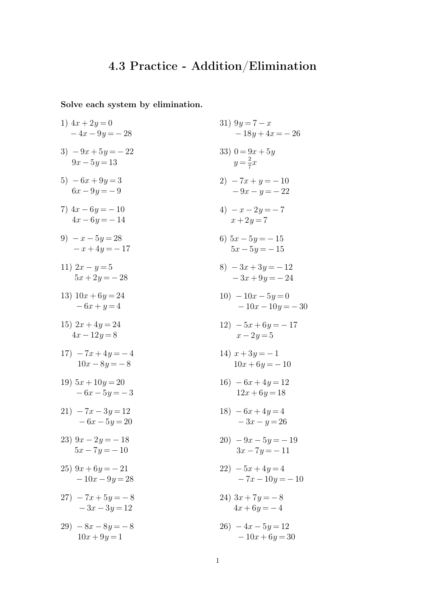## **4.3 Practice - Addition/Elimination**

**Solve each system by elimination.**

1) 
$$
4x + 2y = 0
$$
  
\n $-4x - 9y = -28$   
\n3)  $-9x + 5y = -22$   
\n $9x - 5y = 13$   
\n $6x - 9y = -9$   
\n $4x - 6y = -14$   
\n $4x - 6y = -14$   
\n $-x + 4y = -17$   
\n $5x + 2y = -28$   
\n $-x + 4y = -4$   
\n $10x - 8y = -8$   
\n $11 - 2x - 3y = 12$   
\n $-x - 3y = 12$   
\n $22 - 5x + 4y = 12$   
\n $5x - 5y = -15$   
\n $13 - 2x + 2y = 7$   
\n $14x - 12y = 8$   
\n $15x + 2y = -28$   
\n $16x - 8y = -8$   
\n $17 - 7x + 4y = -4$   
\n $18 - 6x - 5y = -8$   
\n $19 - 10x - 10y = -30$   
\n $19 - 10x - 10y = -30$   
\n $10x - 8y = -8$   
\n $11 - 2x + 6y = 17$   
\n $12 - 5x + 6y = -17$   
\n $13 - 2x + 6y = -17$   
\n $14x - 12y = 8$   
\n $15 - 6x + 4y = 12$   
\n $16 - 6x + 4y = 12$   
\n $12 - 5x + 6y = -17$   
\n $10x - 6y = 0$   
\n $13 - 3x + 3y = -1$   
\n $14x + 3y = -1$   
\n $10x - 6y = -10$   
\n $15 - 6x + 4y = 12$   
\n $16 - 6x + 4y = 12$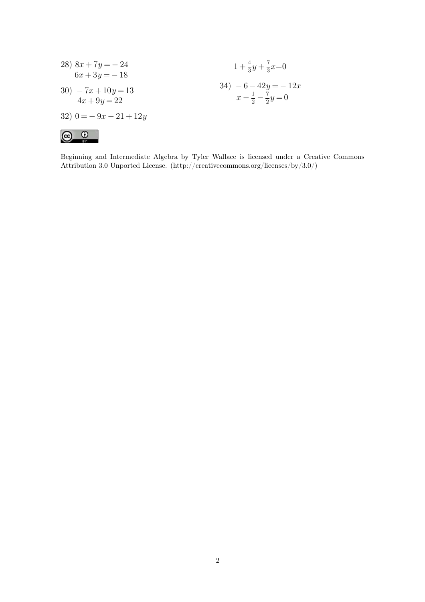28) 
$$
8x + 7y = -24
$$
  
\n $6x + 3y = -18$   
\n30)  $-7x + 10y = 13$   
\n $4x + 9y = 22$   
\n31)  $-6 - 42y = -12x$   
\n $x - \frac{1}{2} - \frac{7}{2}y = 0$   
\n32)  $0 = -9x - 21 + 12y$   
\n**Q. Q**

Beginning and Intermediate Algebra by Tyler Wallace is licensed under a Creative Commons Attribution 3.0 Unported License. (http://creativecommons.org/licenses/by/3.0/)